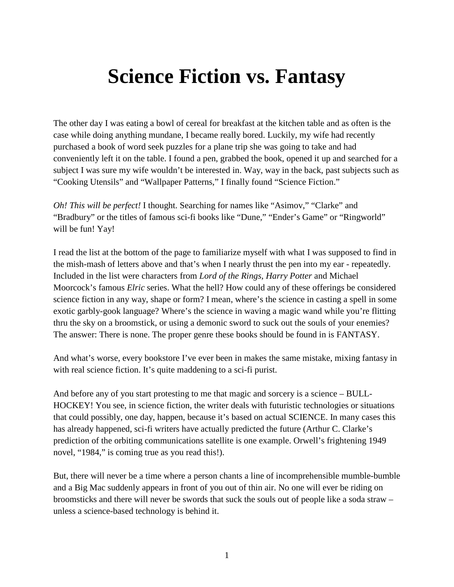## **Science Fiction vs. Fantasy**

The other day I was eating a bowl of cereal for breakfast at the kitchen table and as often is the case while doing anything mundane, I became really bored. Luckily, my wife had recently purchased a book of word seek puzzles for a plane trip she was going to take and had conveniently left it on the table. I found a pen, grabbed the book, opened it up and searched for a subject I was sure my wife wouldn't be interested in. Way, way in the back, past subjects such as "Cooking Utensils" and "Wallpaper Patterns," I finally found "Science Fiction."

*Oh! This will be perfect!* I thought. Searching for names like "Asimov," "Clarke" and "Bradbury" or the titles of famous sci-fi books like "Dune," "Ender's Game" or "Ringworld" will be fun! Yay!

I read the list at the bottom of the page to familiarize myself with what I was supposed to find in the mish-mash of letters above and that's when I nearly thrust the pen into my ear - repeatedly. Included in the list were characters from *Lord of the Rings, Harry Potter* and Michael Moorcock's famous *Elric* series. What the hell? How could any of these offerings be considered science fiction in any way, shape or form? I mean, where's the science in casting a spell in some exotic garbly-gook language? Where's the science in waving a magic wand while you're flitting thru the sky on a broomstick, or using a demonic sword to suck out the souls of your enemies? The answer: There is none. The proper genre these books should be found in is FANTASY.

And what's worse, every bookstore I've ever been in makes the same mistake, mixing fantasy in with real science fiction. It's quite maddening to a sci-fi purist.

And before any of you start protesting to me that magic and sorcery is a science – BULL-HOCKEY! You see, in science fiction, the writer deals with futuristic technologies or situations that could possibly, one day, happen, because it's based on actual SCIENCE. In many cases this has already happened, sci-fi writers have actually predicted the future (Arthur C. Clarke's prediction of the orbiting communications satellite is one example. Orwell's frightening 1949 novel, "1984," is coming true as you read this!).

But, there will never be a time where a person chants a line of incomprehensible mumble-bumble and a Big Mac suddenly appears in front of you out of thin air. No one will ever be riding on broomsticks and there will never be swords that suck the souls out of people like a soda straw – unless a science-based technology is behind it.